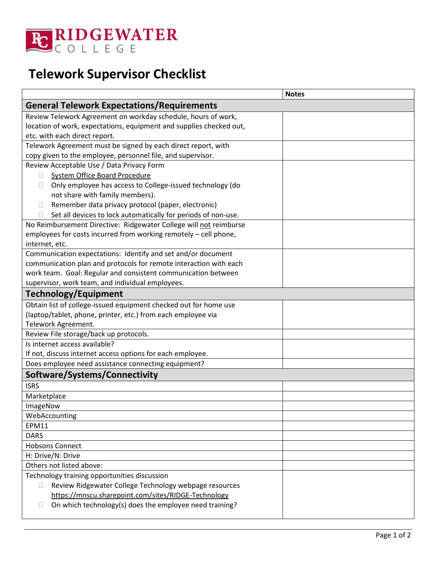

## **Telework Supervisor Checklist**

|                                                                     | <b>Notes</b> |
|---------------------------------------------------------------------|--------------|
| <b>General Telework Expectations/Requirements</b>                   |              |
| Review Telework Agreement on workday schedule, hours of work,       |              |
| location of work, expectations, equipment and supplies checked out, |              |
| etc. with each direct report.                                       |              |
| Telework Agreement must be signed by each direct report, with       |              |
| copy given to the employee, personnel file, and supervisor.         |              |
| Review Acceptable Use / Data Privacy Form                           |              |
| System Office Board Procedure<br>П                                  |              |
| Only employee has access to College-issued technology (do<br>П      |              |
| not share with family members).                                     |              |
| Remember data privacy protocol (paper, electronic)<br>П             |              |
| Set all devices to lock automatically for periods of non-use.<br>П  |              |
| No Reimbursement Directive: Ridgewater College will not reimburse   |              |
| employees for costs incurred from working remotely - cell phone,    |              |
| internet, etc.                                                      |              |
| Communication expectations: Identify and set and/or document        |              |
| communication plan and protocols for remote interaction with each   |              |
| work team. Goal: Regular and consistent communication between       |              |
| supervisor, work team, and individual employees.                    |              |
| <b>Technology/Equipment</b>                                         |              |
| Obtain list of college-issued equipment checked out for home use    |              |
| (laptop/tablet, phone, printer, etc.) from each employee via        |              |
| Telework Agreement.                                                 |              |
| Review File storage/back up protocols.                              |              |
| Is internet access available?                                       |              |
| If not, discuss internet access options for each employee.          |              |
| Does employee need assistance connecting equipment?                 |              |
| Software/Systems/Connectivity                                       |              |
| <b>ISRS</b>                                                         |              |
| Marketplace                                                         |              |
| ImageNow                                                            |              |
| WebAccounting                                                       |              |
| <b>EPM11</b>                                                        |              |
| <b>DARS</b>                                                         |              |
| <b>Hobsons Connect</b>                                              |              |
| H: Drive/N: Drive                                                   |              |
| Others not listed above:                                            |              |
| Technology training opportunities discussion                        |              |
| Review Ridgewater College Technology webpage resources<br>П         |              |
| https://mnscu.sharepoint.com/sites/RIDGE-Technology                 |              |
| On which technology(s) does the employee need training?             |              |